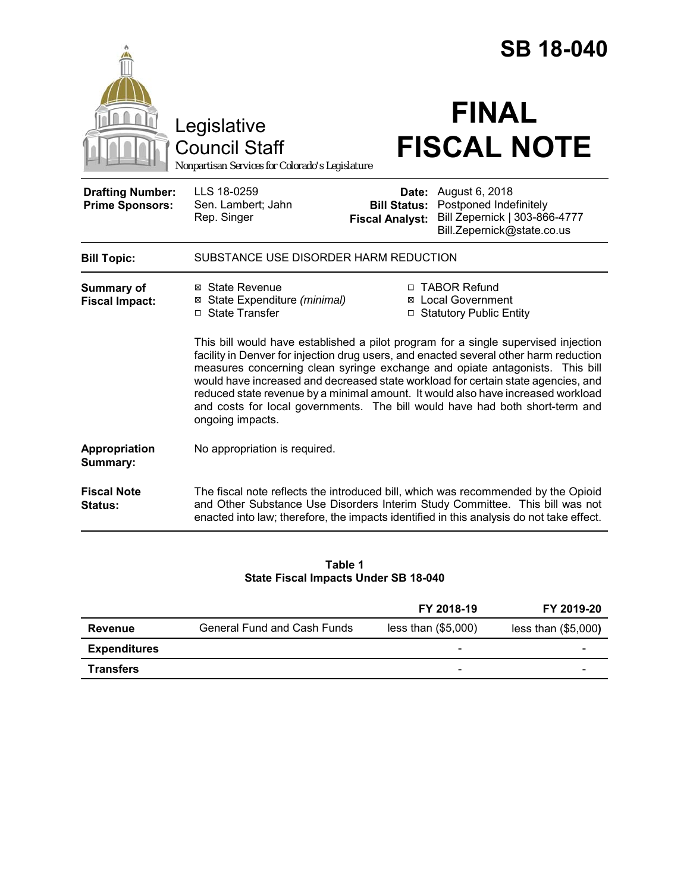|                                                   |                                                                                        | <b>SB 18-040</b>                              |                                                                                                                                                                                                                                                                                                                                                                                                                                |  |
|---------------------------------------------------|----------------------------------------------------------------------------------------|-----------------------------------------------|--------------------------------------------------------------------------------------------------------------------------------------------------------------------------------------------------------------------------------------------------------------------------------------------------------------------------------------------------------------------------------------------------------------------------------|--|
|                                                   | Legislative<br><b>Council Staff</b><br>Nonpartisan Services for Colorado's Legislature |                                               | <b>FINAL</b><br><b>FISCAL NOTE</b>                                                                                                                                                                                                                                                                                                                                                                                             |  |
| <b>Drafting Number:</b><br><b>Prime Sponsors:</b> | LLS 18-0259<br>Sen. Lambert; Jahn<br>Rep. Singer                                       | <b>Bill Status:</b><br><b>Fiscal Analyst:</b> | <b>Date:</b> August 6, 2018<br>Postponed Indefinitely<br>Bill Zepernick   303-866-4777<br>Bill.Zepernick@state.co.us                                                                                                                                                                                                                                                                                                           |  |
| <b>Bill Topic:</b>                                | SUBSTANCE USE DISORDER HARM REDUCTION                                                  |                                               |                                                                                                                                                                                                                                                                                                                                                                                                                                |  |
| <b>Summary of</b><br><b>Fiscal Impact:</b>        | ⊠ State Revenue<br>⊠ State Expenditure (minimal)<br>□ State Transfer                   |                                               | □ TABOR Refund<br>⊠ Local Government<br>□ Statutory Public Entity<br>This bill would have established a pilot program for a single supervised injection                                                                                                                                                                                                                                                                        |  |
|                                                   | ongoing impacts.                                                                       |                                               | facility in Denver for injection drug users, and enacted several other harm reduction<br>measures concerning clean syringe exchange and opiate antagonists. This bill<br>would have increased and decreased state workload for certain state agencies, and<br>reduced state revenue by a minimal amount. It would also have increased workload<br>and costs for local governments. The bill would have had both short-term and |  |
| Appropriation<br>Summary:                         | No appropriation is required.                                                          |                                               |                                                                                                                                                                                                                                                                                                                                                                                                                                |  |
| <b>Fiscal Note</b><br>Status:                     |                                                                                        |                                               | The fiscal note reflects the introduced bill, which was recommended by the Opioid<br>and Other Substance Use Disorders Interim Study Committee. This bill was not<br>enacted into law; therefore, the impacts identified in this analysis do not take effect.                                                                                                                                                                  |  |

#### **Table 1 State Fiscal Impacts Under SB 18-040**

|                     |                                    | FY 2018-19            | FY 2019-20          |
|---------------------|------------------------------------|-----------------------|---------------------|
| Revenue             | <b>General Fund and Cash Funds</b> | less than $(\$5,000)$ | less than (\$5,000) |
| <b>Expenditures</b> |                                    | -                     |                     |
| <b>Transfers</b>    |                                    | -                     |                     |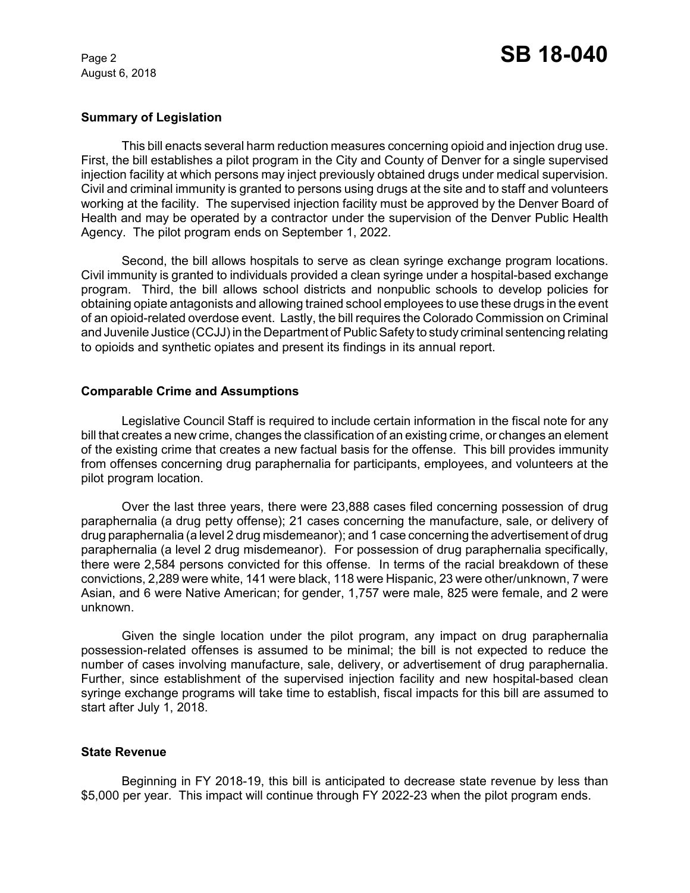August 6, 2018

# **Summary of Legislation**

This bill enacts several harm reduction measures concerning opioid and injection drug use. First, the bill establishes a pilot program in the City and County of Denver for a single supervised injection facility at which persons may inject previously obtained drugs under medical supervision. Civil and criminal immunity is granted to persons using drugs at the site and to staff and volunteers working at the facility. The supervised injection facility must be approved by the Denver Board of Health and may be operated by a contractor under the supervision of the Denver Public Health Agency. The pilot program ends on September 1, 2022.

Second, the bill allows hospitals to serve as clean syringe exchange program locations. Civil immunity is granted to individuals provided a clean syringe under a hospital-based exchange program. Third, the bill allows school districts and nonpublic schools to develop policies for obtaining opiate antagonists and allowing trained school employees to use these drugs in the event of an opioid-related overdose event. Lastly, the bill requires the Colorado Commission on Criminal and Juvenile Justice (CCJJ) in the Department of Public Safety to study criminal sentencing relating to opioids and synthetic opiates and present its findings in its annual report.

### **Comparable Crime and Assumptions**

Legislative Council Staff is required to include certain information in the fiscal note for any bill that creates a new crime, changes the classification of an existing crime, or changes an element of the existing crime that creates a new factual basis for the offense. This bill provides immunity from offenses concerning drug paraphernalia for participants, employees, and volunteers at the pilot program location.

Over the last three years, there were 23,888 cases filed concerning possession of drug paraphernalia (a drug petty offense); 21 cases concerning the manufacture, sale, or delivery of drug paraphernalia (a level 2 drug misdemeanor); and 1 case concerning the advertisement of drug paraphernalia (a level 2 drug misdemeanor). For possession of drug paraphernalia specifically, there were 2,584 persons convicted for this offense. In terms of the racial breakdown of these convictions, 2,289 were white, 141 were black, 118 were Hispanic, 23 were other/unknown, 7 were Asian, and 6 were Native American; for gender, 1,757 were male, 825 were female, and 2 were unknown.

Given the single location under the pilot program, any impact on drug paraphernalia possession-related offenses is assumed to be minimal; the bill is not expected to reduce the number of cases involving manufacture, sale, delivery, or advertisement of drug paraphernalia. Further, since establishment of the supervised injection facility and new hospital-based clean syringe exchange programs will take time to establish, fiscal impacts for this bill are assumed to start after July 1, 2018.

# **State Revenue**

Beginning in FY 2018-19, this bill is anticipated to decrease state revenue by less than \$5,000 per year. This impact will continue through FY 2022-23 when the pilot program ends.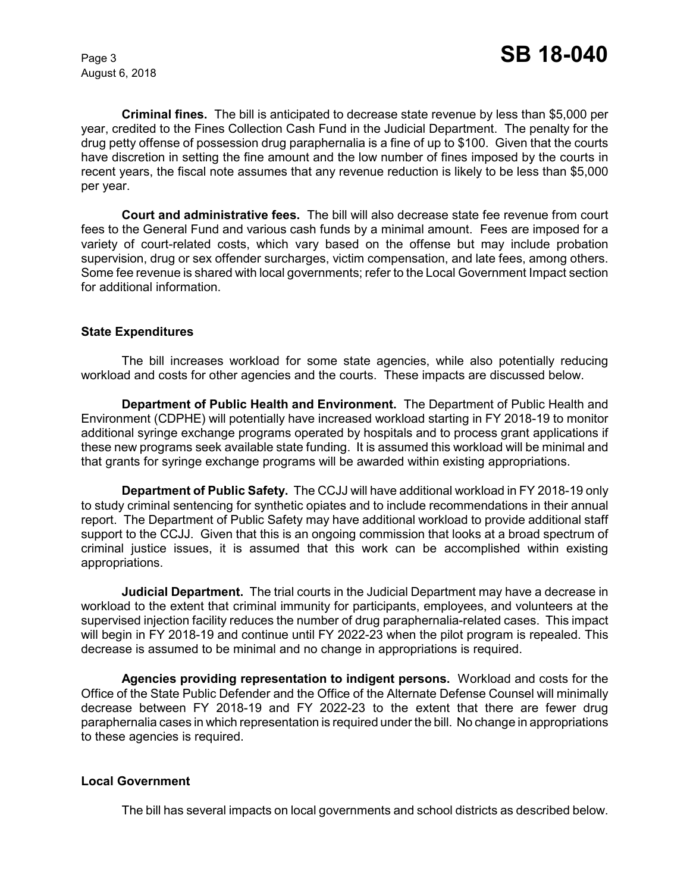August 6, 2018

**Criminal fines.** The bill is anticipated to decrease state revenue by less than \$5,000 per year, credited to the Fines Collection Cash Fund in the Judicial Department. The penalty for the drug petty offense of possession drug paraphernalia is a fine of up to \$100. Given that the courts have discretion in setting the fine amount and the low number of fines imposed by the courts in recent years, the fiscal note assumes that any revenue reduction is likely to be less than \$5,000 per year.

**Court and administrative fees.** The bill will also decrease state fee revenue from court fees to the General Fund and various cash funds by a minimal amount. Fees are imposed for a variety of court-related costs, which vary based on the offense but may include probation supervision, drug or sex offender surcharges, victim compensation, and late fees, among others. Some fee revenue is shared with local governments; refer to the Local Government Impact section for additional information.

### **State Expenditures**

The bill increases workload for some state agencies, while also potentially reducing workload and costs for other agencies and the courts. These impacts are discussed below.

**Department of Public Health and Environment.** The Department of Public Health and Environment (CDPHE) will potentially have increased workload starting in FY 2018-19 to monitor additional syringe exchange programs operated by hospitals and to process grant applications if these new programs seek available state funding. It is assumed this workload will be minimal and that grants for syringe exchange programs will be awarded within existing appropriations.

**Department of Public Safety.** The CCJJ will have additional workload in FY 2018-19 only to study criminal sentencing for synthetic opiates and to include recommendations in their annual report. The Department of Public Safety may have additional workload to provide additional staff support to the CCJJ. Given that this is an ongoing commission that looks at a broad spectrum of criminal justice issues, it is assumed that this work can be accomplished within existing appropriations.

**Judicial Department.** The trial courts in the Judicial Department may have a decrease in workload to the extent that criminal immunity for participants, employees, and volunteers at the supervised injection facility reduces the number of drug paraphernalia-related cases. This impact will begin in FY 2018-19 and continue until FY 2022-23 when the pilot program is repealed. This decrease is assumed to be minimal and no change in appropriations is required.

**Agencies providing representation to indigent persons.** Workload and costs for the Office of the State Public Defender and the Office of the Alternate Defense Counsel will minimally decrease between FY 2018-19 and FY 2022-23 to the extent that there are fewer drug paraphernalia cases in which representation is required under the bill. No change in appropriations to these agencies is required.

# **Local Government**

The bill has several impacts on local governments and school districts as described below.